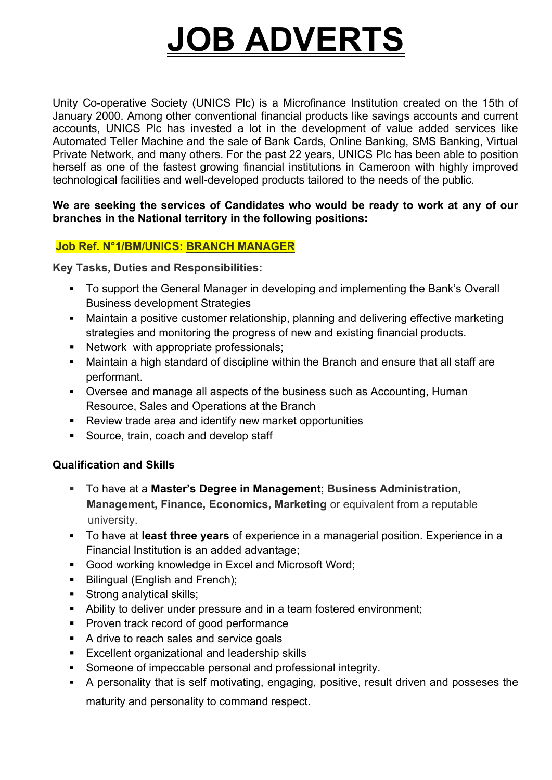# **JOB ADVERTS**

Unity Co-operative Society (UNICS Plc) is a Microfinance Institution created on the 15th of January 2000. Among other conventional financial products like savings accounts and current accounts, UNICS Plc has invested a lot in the development of value added services like Automated Teller Machine and the sale of Bank Cards, Online Banking, SMS Banking, Virtual Private Network, and many others. For the past 22 years, UNICS Plc has been able to position herself as one of the fastest growing financial institutions in Cameroon with highly improved technological facilities and well-developed products tailored to the needs of the public.

#### **We are seeking the services of Candidates who would be ready to work at any of our branches in the National territory in the following positions:**

## **Job Ref. N°1/BM/UNICS: BRANCH MANAGER**

**Key Tasks, Duties and Responsibilities:** 

- To support the General Manager in developing and implementing the Bank's Overall Business development Strategies
- Maintain a positive customer relationship, planning and delivering effective marketing strategies and monitoring the progress of new and existing financial products.
- Network with appropriate professionals;
- Maintain a high standard of discipline within the Branch and ensure that all staff are performant.
- Oversee and manage all aspects of the business such as Accounting, Human Resource, Sales and Operations at the Branch
- Review trade area and identify new market opportunities
- Source, train, coach and develop staff

### **Qualification and Skills**

- To have at a **Master's Degree in Management**; **Business Administration, Management, Finance, Economics, Marketing** or equivalent from a reputable university.
- To have at **least three years** of experience in a managerial position. Experience in a Financial Institution is an added advantage;
- **Good working knowledge in Excel and Microsoft Word;**
- Bilingual (English and French);
- Strong analytical skills;
- Ability to deliver under pressure and in a team fostered environment;
- Proven track record of good performance
- A drive to reach sales and service goals
- **Excellent organizational and leadership skills**
- Someone of impeccable personal and professional integrity.
- A personality that is self motivating, engaging, positive, result driven and posseses the

maturity and personality to command respect.